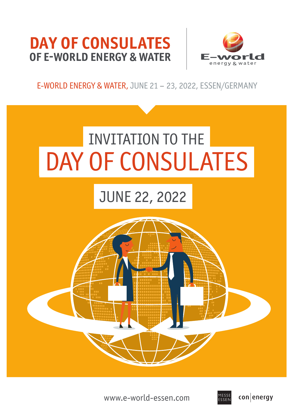# **DAY OF CONSULATES OF E-WORLD ENERGY & WATER**



## E-WORLD ENERGY & WATER, JUNE 21 – 23, 2022, ESSEN/GERMANY



www.e-world-essen.com

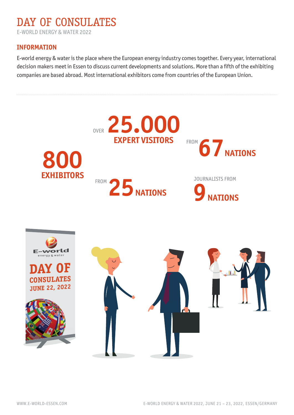## DAY OF CONSULATES E-WORLD ENERGY & WATER 2022

### **INFORMATION**

E-world energy & water is the place where the European energy industry comes together. Every year, international decision makers meet in Essen to discuss current developments and solutions. More than a fifth of the exhibiting companies are based abroad. Most international exhibitors come from countries of the European Union.